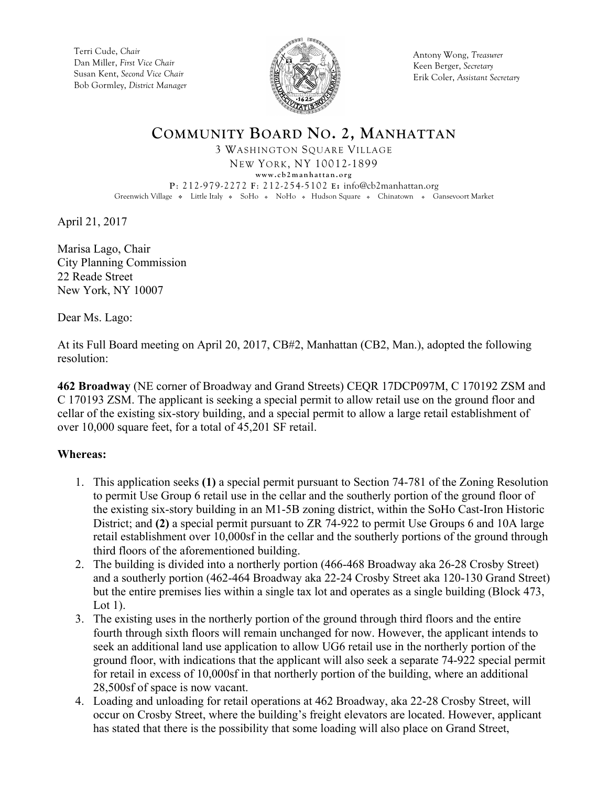

Antony Wong, *Treasurer* Keen Berger, *Secretary* Erik Coler, *Assistant Secretary*

#### **COMMUNITY BOARD NO. 2, MANHATTAN** 3 WASHINGTON SQUARE VILLAGE NEW YORK, NY 10012-1899 **www.cb2manhattan.org P**: 212-979-2272 **F**: 212-254-5102 **E:** info@cb2manhattan.org Greenwich Village . Little Italy . SoHo . NoHo . Hudson Square . Chinatown . Gansevoort Market

April 21, 2017

Marisa Lago, Chair City Planning Commission 22 Reade Street New York, NY 10007

Dear Ms. Lago:

At its Full Board meeting on April 20, 2017, CB#2, Manhattan (CB2, Man.), adopted the following resolution:

**462 Broadway** (NE corner of Broadway and Grand Streets) CEQR 17DCP097M, C 170192 ZSM and C 170193 ZSM. The applicant is seeking a special permit to allow retail use on the ground floor and cellar of the existing six-story building, and a special permit to allow a large retail establishment of over 10,000 square feet, for a total of 45,201 SF retail.

- 1. This application seeks **(1)** a special permit pursuant to Section 74-781 of the Zoning Resolution to permit Use Group 6 retail use in the cellar and the southerly portion of the ground floor of the existing six-story building in an M1-5B zoning district, within the SoHo Cast-Iron Historic District; and **(2)** a special permit pursuant to ZR 74-922 to permit Use Groups 6 and 10A large retail establishment over 10,000sf in the cellar and the southerly portions of the ground through third floors of the aforementioned building.
- 2. The building is divided into a northerly portion (466-468 Broadway aka 26-28 Crosby Street) and a southerly portion (462-464 Broadway aka 22-24 Crosby Street aka 120-130 Grand Street) but the entire premises lies within a single tax lot and operates as a single building (Block 473, Lot  $1$ ).
- 3. The existing uses in the northerly portion of the ground through third floors and the entire fourth through sixth floors will remain unchanged for now. However, the applicant intends to seek an additional land use application to allow UG6 retail use in the northerly portion of the ground floor, with indications that the applicant will also seek a separate 74-922 special permit for retail in excess of 10,000sf in that northerly portion of the building, where an additional 28,500sf of space is now vacant.
- 4. Loading and unloading for retail operations at 462 Broadway, aka 22-28 Crosby Street, will occur on Crosby Street, where the building's freight elevators are located. However, applicant has stated that there is the possibility that some loading will also place on Grand Street,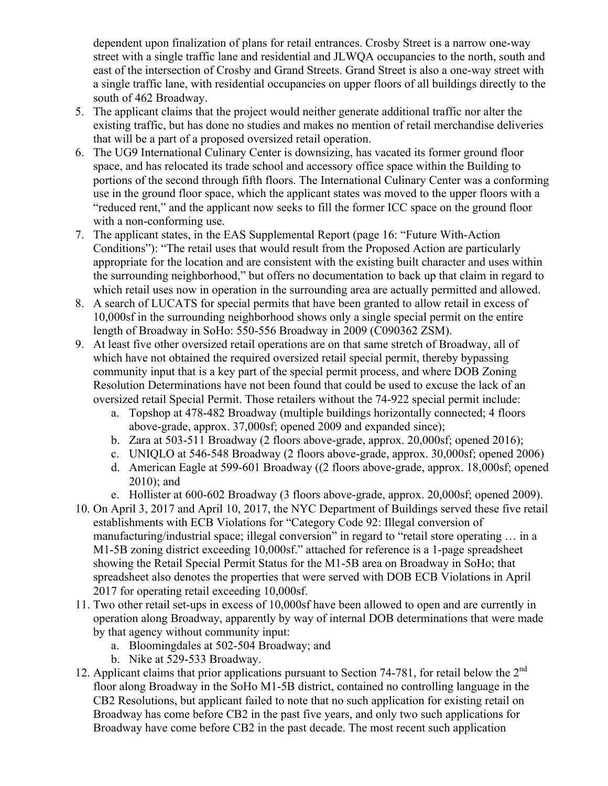dependent upon finalization of plans for retail entrances. Crosby Street is a narrow one-way street with a single traffic lane and residential and JLWQA occupancies to the north, south and east of the intersection of Crosby and Grand Streets. Grand Street is also a one-way street with a single traffic lane, with residential occupancies on upper floors of all buildings directly to the south of 462 Broadway.

- 5. The applicant claims that the project would neither generate additional traffic nor alter the existing traffic, but has done no studies and makes no mention of retail merchandise deliveries that will be a part of a proposed oversized retail operation.
- 6. The UG9 International Culinary Center is downsizing, has vacated its former ground floor space, and has relocated its trade school and accessory office space within the Building to portions of the second through fifth floors. The International Culinary Center was a conforming use in the ground floor space, which the applicant states was moved to the upper floors with a "reduced rent," and the applicant now seeks to fill the former ICC space on the ground floor with a non-conforming use.
- 7. The applicant states, in the EAS Supplemental Report (page 16: "Future With-Action Conditions"): "The retail uses that would result from the Proposed Action are particularly appropriate for the location and are consistent with the existing built character and uses within the surrounding neighborhood," but offers no documentation to back up that claim in regard to which retail uses now in operation in the surrounding area are actually permitted and allowed.
- 8. A search of LUCATS for special permits that have been granted to allow retail in excess of 10,000sf in the surrounding neighborhood shows only a single special permit on the entire length of Broadway in SoHo: 550-556 Broadway in 2009 (C090362 ZSM).
- 9. At least five other oversized retail operations are on that same stretch of Broadway, all of which have not obtained the required oversized retail special permit, thereby bypassing community input that is a key part of the special permit process, and where DOB Zoning Resolution Determinations have not been found that could be used to excuse the lack of an oversized retail Special Permit. Those retailers without the 74-922 special permit include:
	- a. Topshop at 478-482 Broadway (multiple buildings horizontally connected; 4 floors above-grade, approx. 37,000sf; opened 2009 and expanded since);
	- b. Zara at 503-511 Broadway (2 floors above-grade, approx. 20,000sf; opened 2016);
	- c. UNIQLO at 546-548 Broadway (2 floors above-grade, approx. 30,000sf; opened 2006)
	- d. American Eagle at 599-601 Broadway ((2 floors above-grade, approx. 18,000sf; opened 2010); and
	- e. Hollister at 600-602 Broadway (3 floors above-grade, approx. 20,000sf; opened 2009).
- 10. On April 3, 2017 and April 10, 2017, the NYC Department of Buildings served these five retail establishments with ECB Violations for "Category Code 92: Illegal conversion of manufacturing/industrial space; illegal conversion" in regard to "retail store operating … in a M1-5B zoning district exceeding 10,000sf." attached for reference is a 1-page spreadsheet showing the Retail Special Permit Status for the M1-5B area on Broadway in SoHo; that spreadsheet also denotes the properties that were served with DOB ECB Violations in April 2017 for operating retail exceeding 10,000sf.
- 11. Two other retail set-ups in excess of 10,000sf have been allowed to open and are currently in operation along Broadway, apparently by way of internal DOB determinations that were made by that agency without community input:
	- a. Bloomingdales at 502-504 Broadway; and
	- b. Nike at 529-533 Broadway.
- 12. Applicant claims that prior applications pursuant to Section 74-781, for retail below the  $2<sup>nd</sup>$ floor along Broadway in the SoHo M1-5B district, contained no controlling language in the CB2 Resolutions, but applicant failed to note that no such application for existing retail on Broadway has come before CB2 in the past five years, and only two such applications for Broadway have come before CB2 in the past decade. The most recent such application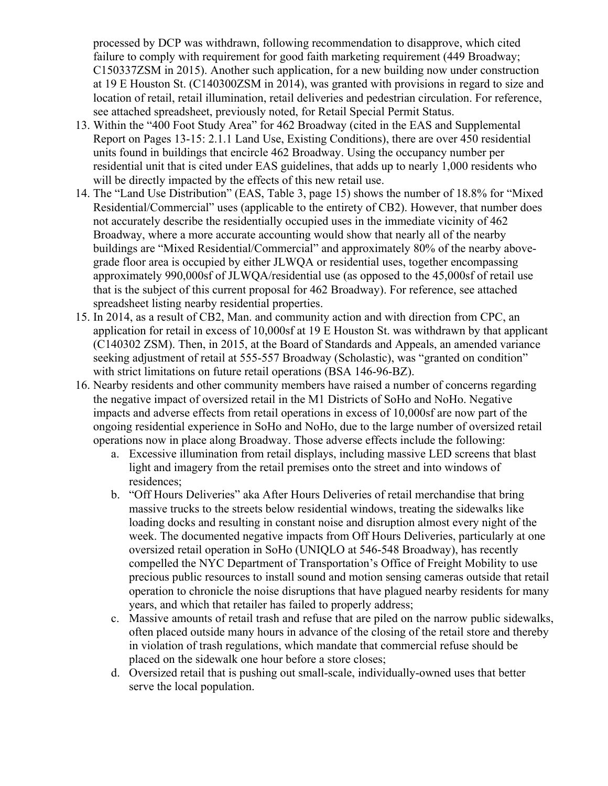processed by DCP was withdrawn, following recommendation to disapprove, which cited failure to comply with requirement for good faith marketing requirement (449 Broadway; C150337ZSM in 2015). Another such application, for a new building now under construction at 19 E Houston St. (C140300ZSM in 2014), was granted with provisions in regard to size and location of retail, retail illumination, retail deliveries and pedestrian circulation. For reference, see attached spreadsheet, previously noted, for Retail Special Permit Status.

- 13. Within the "400 Foot Study Area" for 462 Broadway (cited in the EAS and Supplemental Report on Pages 13-15: 2.1.1 Land Use, Existing Conditions), there are over 450 residential units found in buildings that encircle 462 Broadway. Using the occupancy number per residential unit that is cited under EAS guidelines, that adds up to nearly 1,000 residents who will be directly impacted by the effects of this new retail use.
- 14. The "Land Use Distribution" (EAS, Table 3, page 15) shows the number of 18.8% for "Mixed Residential/Commercial" uses (applicable to the entirety of CB2). However, that number does not accurately describe the residentially occupied uses in the immediate vicinity of 462 Broadway, where a more accurate accounting would show that nearly all of the nearby buildings are "Mixed Residential/Commercial" and approximately 80% of the nearby abovegrade floor area is occupied by either JLWQA or residential uses, together encompassing approximately 990,000sf of JLWQA/residential use (as opposed to the 45,000sf of retail use that is the subject of this current proposal for 462 Broadway). For reference, see attached spreadsheet listing nearby residential properties.
- 15. In 2014, as a result of CB2, Man. and community action and with direction from CPC, an application for retail in excess of 10,000sf at 19 E Houston St. was withdrawn by that applicant (C140302 ZSM). Then, in 2015, at the Board of Standards and Appeals, an amended variance seeking adjustment of retail at 555-557 Broadway (Scholastic), was "granted on condition" with strict limitations on future retail operations (BSA 146-96-BZ).
- 16. Nearby residents and other community members have raised a number of concerns regarding the negative impact of oversized retail in the M1 Districts of SoHo and NoHo. Negative impacts and adverse effects from retail operations in excess of 10,000sf are now part of the ongoing residential experience in SoHo and NoHo, due to the large number of oversized retail operations now in place along Broadway. Those adverse effects include the following:
	- a. Excessive illumination from retail displays, including massive LED screens that blast light and imagery from the retail premises onto the street and into windows of residences;
	- b. "Off Hours Deliveries" aka After Hours Deliveries of retail merchandise that bring massive trucks to the streets below residential windows, treating the sidewalks like loading docks and resulting in constant noise and disruption almost every night of the week. The documented negative impacts from Off Hours Deliveries, particularly at one oversized retail operation in SoHo (UNIQLO at 546-548 Broadway), has recently compelled the NYC Department of Transportation's Office of Freight Mobility to use precious public resources to install sound and motion sensing cameras outside that retail operation to chronicle the noise disruptions that have plagued nearby residents for many years, and which that retailer has failed to properly address;
	- c. Massive amounts of retail trash and refuse that are piled on the narrow public sidewalks, often placed outside many hours in advance of the closing of the retail store and thereby in violation of trash regulations, which mandate that commercial refuse should be placed on the sidewalk one hour before a store closes;
	- d. Oversized retail that is pushing out small-scale, individually-owned uses that better serve the local population.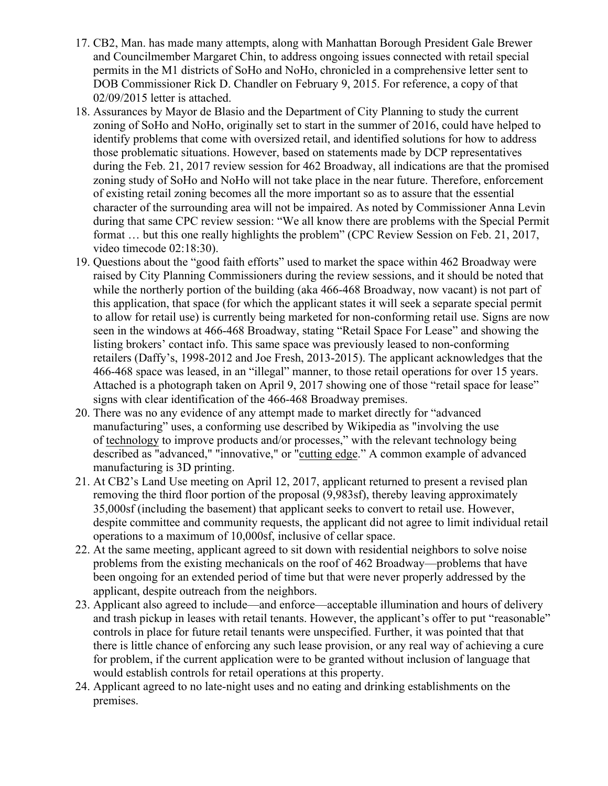- 17. CB2, Man. has made many attempts, along with Manhattan Borough President Gale Brewer and Councilmember Margaret Chin, to address ongoing issues connected with retail special permits in the M1 districts of SoHo and NoHo, chronicled in a comprehensive letter sent to DOB Commissioner Rick D. Chandler on February 9, 2015. For reference, a copy of that 02/09/2015 letter is attached.
- 18. Assurances by Mayor de Blasio and the Department of City Planning to study the current zoning of SoHo and NoHo, originally set to start in the summer of 2016, could have helped to identify problems that come with oversized retail, and identified solutions for how to address those problematic situations. However, based on statements made by DCP representatives during the Feb. 21, 2017 review session for 462 Broadway, all indications are that the promised zoning study of SoHo and NoHo will not take place in the near future. Therefore, enforcement of existing retail zoning becomes all the more important so as to assure that the essential character of the surrounding area will not be impaired. As noted by Commissioner Anna Levin during that same CPC review session: "We all know there are problems with the Special Permit format ... but this one really highlights the problem" (CPC Review Session on Feb. 21, 2017, video timecode 02:18:30).
- 19. Questions about the "good faith efforts" used to market the space within 462 Broadway were raised by City Planning Commissioners during the review sessions, and it should be noted that while the northerly portion of the building (aka 466-468 Broadway, now vacant) is not part of this application, that space (for which the applicant states it will seek a separate special permit to allow for retail use) is currently being marketed for non-conforming retail use. Signs are now seen in the windows at 466-468 Broadway, stating "Retail Space For Lease" and showing the listing brokers' contact info. This same space was previously leased to non-conforming retailers (Daffy's, 1998-2012 and Joe Fresh, 2013-2015). The applicant acknowledges that the 466-468 space was leased, in an "illegal" manner, to those retail operations for over 15 years. Attached is a photograph taken on April 9, 2017 showing one of those "retail space for lease" signs with clear identification of the 466-468 Broadway premises.
- 20. There was no any evidence of any attempt made to market directly for "advanced manufacturing" uses, a conforming use described by Wikipedia as "involving the use of technology to improve products and/or processes," with the relevant technology being described as "advanced," "innovative," or "cutting edge." A common example of advanced manufacturing is 3D printing.
- 21. At CB2's Land Use meeting on April 12, 2017, applicant returned to present a revised plan removing the third floor portion of the proposal (9,983sf), thereby leaving approximately 35,000sf (including the basement) that applicant seeks to convert to retail use. However, despite committee and community requests, the applicant did not agree to limit individual retail operations to a maximum of 10,000sf, inclusive of cellar space.
- 22. At the same meeting, applicant agreed to sit down with residential neighbors to solve noise problems from the existing mechanicals on the roof of 462 Broadway—problems that have been ongoing for an extended period of time but that were never properly addressed by the applicant, despite outreach from the neighbors.
- 23. Applicant also agreed to include—and enforce—acceptable illumination and hours of delivery and trash pickup in leases with retail tenants. However, the applicant's offer to put "reasonable" controls in place for future retail tenants were unspecified. Further, it was pointed that that there is little chance of enforcing any such lease provision, or any real way of achieving a cure for problem, if the current application were to be granted without inclusion of language that would establish controls for retail operations at this property.
- 24. Applicant agreed to no late-night uses and no eating and drinking establishments on the premises.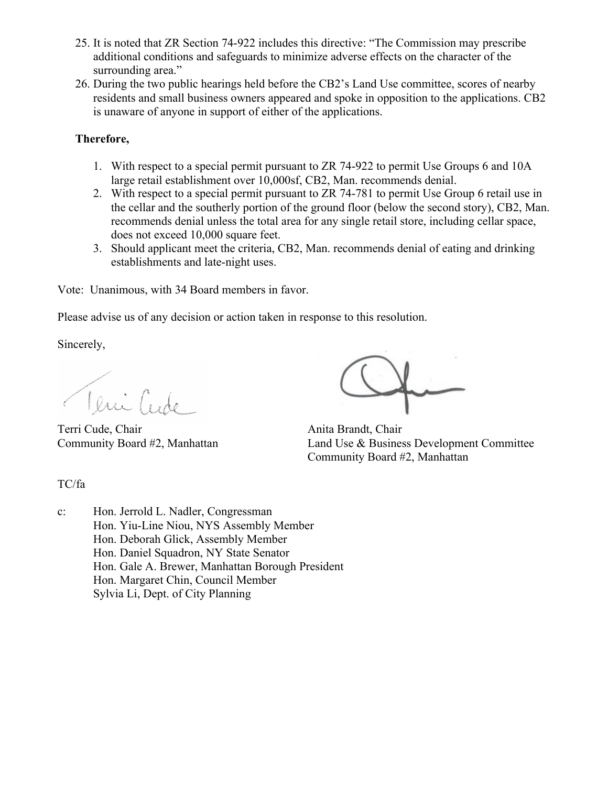- 25. It is noted that ZR Section 74-922 includes this directive: "The Commission may prescribe additional conditions and safeguards to minimize adverse effects on the character of the surrounding area."
- 26. During the two public hearings held before the CB2's Land Use committee, scores of nearby residents and small business owners appeared and spoke in opposition to the applications. CB2 is unaware of anyone in support of either of the applications.

# **Therefore,**

- 1. With respect to a special permit pursuant to ZR 74-922 to permit Use Groups 6 and 10A large retail establishment over 10,000sf, CB2, Man. recommends denial.
- 2. With respect to a special permit pursuant to ZR 74-781 to permit Use Group 6 retail use in the cellar and the southerly portion of the ground floor (below the second story), CB2, Man. recommends denial unless the total area for any single retail store, including cellar space, does not exceed 10,000 square feet.
- 3. Should applicant meet the criteria, CB2, Man. recommends denial of eating and drinking establishments and late-night uses.

Vote: Unanimous, with 34 Board members in favor.

Please advise us of any decision or action taken in response to this resolution.

Sincerely,

Teni Cede

Terri Cude, Chair **Anita Brandt**, Chair

 $\cup$ 

Community Board #2, Manhattan Land Use & Business Development Committee Community Board #2, Manhattan

TC/fa

c: Hon. Jerrold L. Nadler, Congressman Hon. Yiu-Line Niou, NYS Assembly Member Hon. Deborah Glick, Assembly Member Hon. Daniel Squadron, NY State Senator Hon. Gale A. Brewer, Manhattan Borough President Hon. Margaret Chin, Council Member Sylvia Li, Dept. of City Planning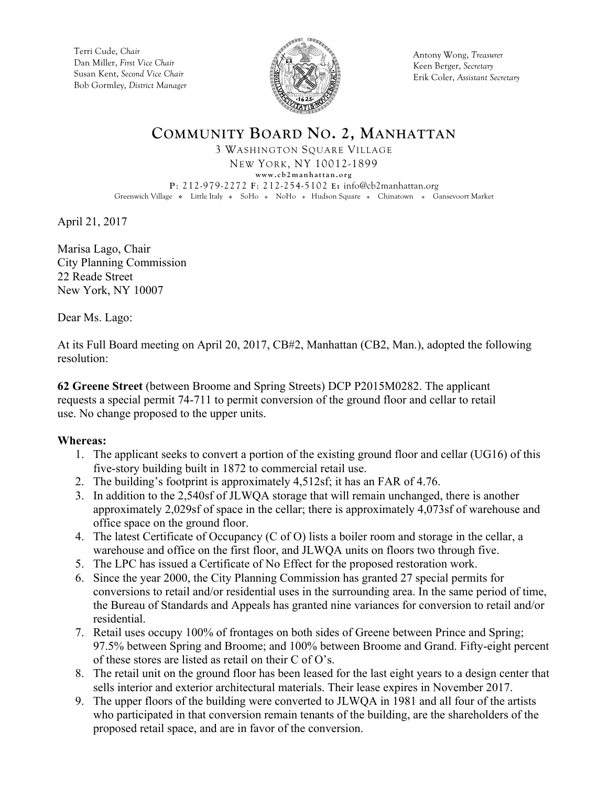

Antony Wong, *Treasurer* Keen Berger, *Secretary* Erik Coler, *Assistant Secretary*

# **COMMUNITY BOARD NO. 2, MANHATTAN** 3 WASHINGTON SQUARE VILLAGE NEW YORK, NY 10012-1899 **www.cb2manhattan.org**

**P**: 212-979-2272 **F**: 212-254-5102 **E:** info@cb2manhattan.org Greenwich Village . Little Italy . SoHo . NoHo . Hudson Square . Chinatown . Gansevoort Market

April 21, 2017

Marisa Lago, Chair City Planning Commission 22 Reade Street New York, NY 10007

Dear Ms. Lago:

At its Full Board meeting on April 20, 2017, CB#2, Manhattan (CB2, Man.), adopted the following resolution:

**62 Greene Street** (between Broome and Spring Streets) DCP P2015M0282. The applicant requests a special permit 74-711 to permit conversion of the ground floor and cellar to retail use. No change proposed to the upper units.

- 1. The applicant seeks to convert a portion of the existing ground floor and cellar (UG16) of this five-story building built in 1872 to commercial retail use.
- 2. The building's footprint is approximately 4,512sf; it has an FAR of 4.76.
- 3. In addition to the 2,540sf of JLWQA storage that will remain unchanged, there is another approximately 2,029sf of space in the cellar; there is approximately 4,073sf of warehouse and office space on the ground floor.
- 4. The latest Certificate of Occupancy (C of O) lists a boiler room and storage in the cellar, a warehouse and office on the first floor, and JLWQA units on floors two through five.
- 5. The LPC has issued a Certificate of No Effect for the proposed restoration work.
- 6. Since the year 2000, the City Planning Commission has granted 27 special permits for conversions to retail and/or residential uses in the surrounding area. In the same period of time, the Bureau of Standards and Appeals has granted nine variances for conversion to retail and/or residential.
- 7. Retail uses occupy 100% of frontages on both sides of Greene between Prince and Spring; 97.5% between Spring and Broome; and 100% between Broome and Grand. Fifty-eight percent of these stores are listed as retail on their C of O's.
- 8. The retail unit on the ground floor has been leased for the last eight years to a design center that sells interior and exterior architectural materials. Their lease expires in November 2017.
- 9. The upper floors of the building were converted to JLWQA in 1981 and all four of the artists who participated in that conversion remain tenants of the building, are the shareholders of the proposed retail space, and are in favor of the conversion.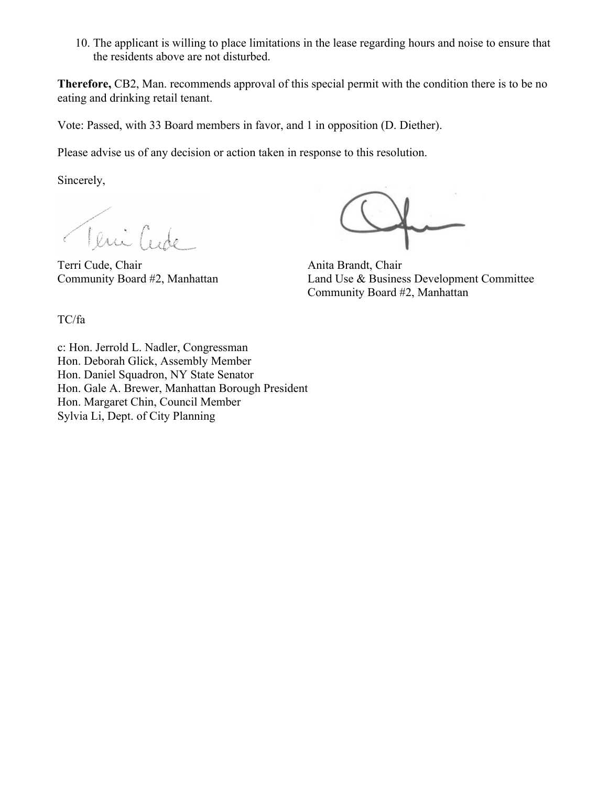10. The applicant is willing to place limitations in the lease regarding hours and noise to ensure that the residents above are not disturbed.

**Therefore,** CB2, Man. recommends approval of this special permit with the condition there is to be no eating and drinking retail tenant.

Vote: Passed, with 33 Board members in favor, and 1 in opposition (D. Diether).

Please advise us of any decision or action taken in response to this resolution.

Sincerely,

Teni Cude

Terri Cude, Chair **Anita Brandt**, Chair **Anita Brandt**, Chair

Community Board #2, Manhattan Land Use & Business Development Committee Community Board #2, Manhattan

TC/fa

c: Hon. Jerrold L. Nadler, Congressman Hon. Deborah Glick, Assembly Member Hon. Daniel Squadron, NY State Senator Hon. Gale A. Brewer, Manhattan Borough President Hon. Margaret Chin, Council Member Sylvia Li, Dept. of City Planning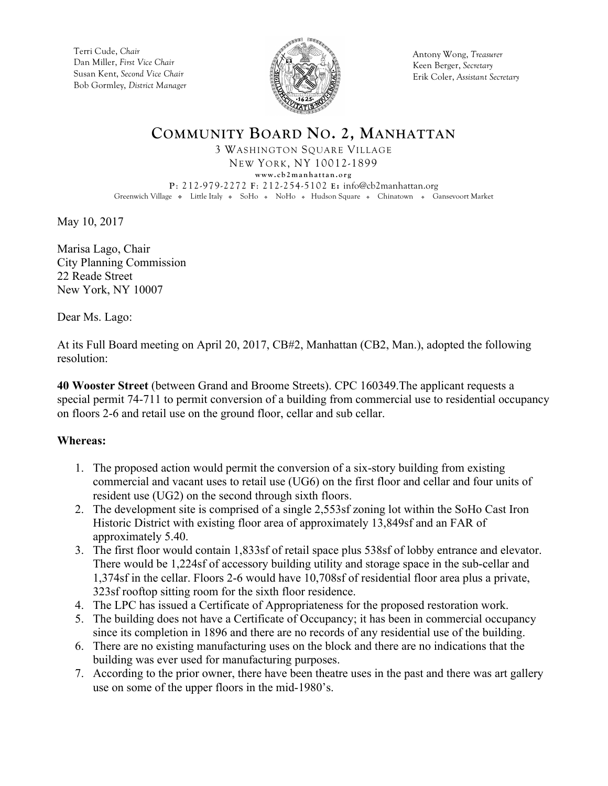

Antony Wong, *Treasurer* Keen Berger, *Secretary* Erik Coler, *Assistant Secretary*

# **COMMUNITY BOARD NO. 2, MANHATTAN** 3 WASHINGTON SQUARE VILLAGE NEW YORK, NY 10012-1899 **www.cb2manhattan.org P**: 212-979-2272 **F**: 212-254-5102 **E:** info@cb2manhattan.org

Greenwich Village v Little Italy v SoHo v NoHo v Hudson Square v Chinatown v Gansevoort Market

May 10, 2017

Marisa Lago, Chair City Planning Commission 22 Reade Street New York, NY 10007

Dear Ms. Lago:

At its Full Board meeting on April 20, 2017, CB#2, Manhattan (CB2, Man.), adopted the following resolution:

**40 Wooster Street** (between Grand and Broome Streets). CPC 160349.The applicant requests a special permit 74-711 to permit conversion of a building from commercial use to residential occupancy on floors 2-6 and retail use on the ground floor, cellar and sub cellar.

- 1. The proposed action would permit the conversion of a six-story building from existing commercial and vacant uses to retail use (UG6) on the first floor and cellar and four units of resident use (UG2) on the second through sixth floors.
- 2. The development site is comprised of a single 2,553sf zoning lot within the SoHo Cast Iron Historic District with existing floor area of approximately 13,849sf and an FAR of approximately 5.40.
- 3. The first floor would contain 1,833sf of retail space plus 538sf of lobby entrance and elevator. There would be 1,224sf of accessory building utility and storage space in the sub-cellar and 1,374sf in the cellar. Floors 2-6 would have 10,708sf of residential floor area plus a private, 323sf rooftop sitting room for the sixth floor residence.
- 4. The LPC has issued a Certificate of Appropriateness for the proposed restoration work.
- 5. The building does not have a Certificate of Occupancy; it has been in commercial occupancy since its completion in 1896 and there are no records of any residential use of the building.
- 6. There are no existing manufacturing uses on the block and there are no indications that the building was ever used for manufacturing purposes.
- 7. According to the prior owner, there have been theatre uses in the past and there was art gallery use on some of the upper floors in the mid-1980's.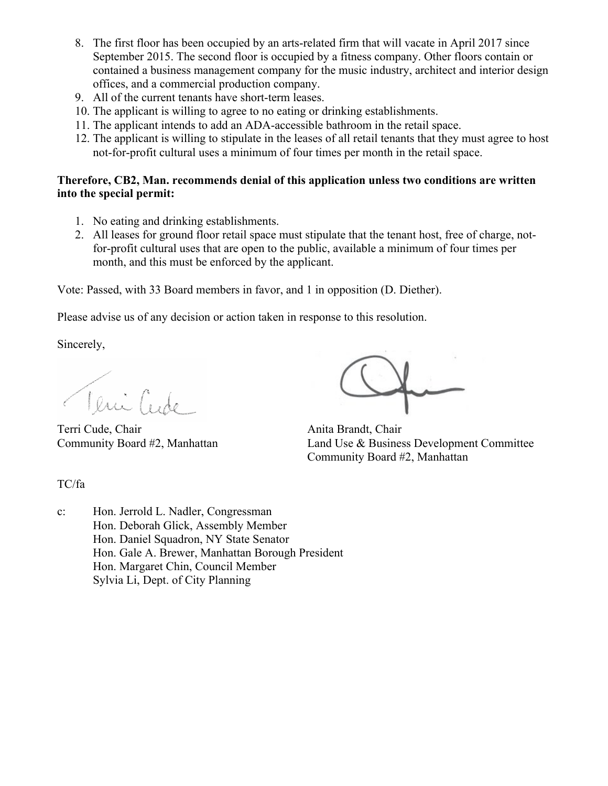- 8. The first floor has been occupied by an arts-related firm that will vacate in April 2017 since September 2015. The second floor is occupied by a fitness company. Other floors contain or contained a business management company for the music industry, architect and interior design offices, and a commercial production company.
- 9. All of the current tenants have short-term leases.
- 10. The applicant is willing to agree to no eating or drinking establishments.
- 11. The applicant intends to add an ADA-accessible bathroom in the retail space.
- 12. The applicant is willing to stipulate in the leases of all retail tenants that they must agree to host not-for-profit cultural uses a minimum of four times per month in the retail space.

## **Therefore, CB2, Man. recommends denial of this application unless two conditions are written into the special permit:**

- 1. No eating and drinking establishments.
- 2. All leases for ground floor retail space must stipulate that the tenant host, free of charge, notfor-profit cultural uses that are open to the public, available a minimum of four times per month, and this must be enforced by the applicant.

Vote: Passed, with 33 Board members in favor, and 1 in opposition (D. Diether).

Please advise us of any decision or action taken in response to this resolution.

Sincerely,

Teni Cude

Terri Cude, Chair **Anita Brandt**, Chair

Community Board #2, Manhattan Land Use & Business Development Committee Community Board #2, Manhattan

TC/fa

c: Hon. Jerrold L. Nadler, Congressman Hon. Deborah Glick, Assembly Member Hon. Daniel Squadron, NY State Senator Hon. Gale A. Brewer, Manhattan Borough President Hon. Margaret Chin, Council Member Sylvia Li, Dept. of City Planning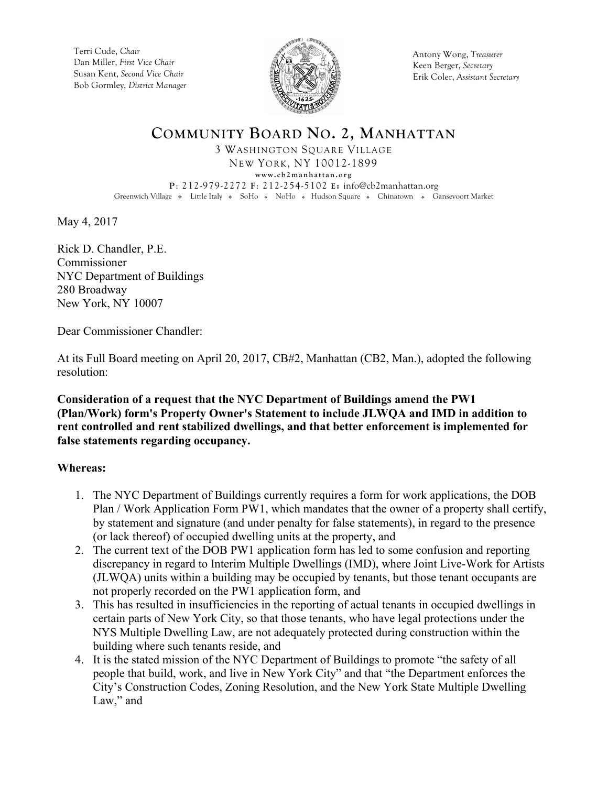

Antony Wong, *Treasurer* Keen Berger, *Secretary* Erik Coler, *Assistant Secretary*

# **COMMUNITY BOARD NO. 2, MANHATTAN** 3 WASHINGTON SQUARE VILLAGE

NEW YORK, NY 10012-1899 **www.cb2manhattan.org P**: 212-979-2272 **F**: 212-254-5102 **E:** info@cb2manhattan.org Greenwich Village • Little Italy • SoHo • NoHo • Hudson Square • Chinatown • Gansevoort Market

May 4, 2017

Rick D. Chandler, P.E. Commissioner NYC Department of Buildings 280 Broadway New York, NY 10007

Dear Commissioner Chandler:

At its Full Board meeting on April 20, 2017, CB#2, Manhattan (CB2, Man.), adopted the following resolution:

## **Consideration of a request that the NYC Department of Buildings amend the PW1 (Plan/Work) form's Property Owner's Statement to include JLWQA and IMD in addition to rent controlled and rent stabilized dwellings, and that better enforcement is implemented for false statements regarding occupancy.**

- 1. The NYC Department of Buildings currently requires a form for work applications, the DOB Plan / Work Application Form PW1, which mandates that the owner of a property shall certify, by statement and signature (and under penalty for false statements), in regard to the presence (or lack thereof) of occupied dwelling units at the property, and
- 2. The current text of the DOB PW1 application form has led to some confusion and reporting discrepancy in regard to Interim Multiple Dwellings (IMD), where Joint Live-Work for Artists (JLWQA) units within a building may be occupied by tenants, but those tenant occupants are not properly recorded on the PW1 application form, and
- 3. This has resulted in insufficiencies in the reporting of actual tenants in occupied dwellings in certain parts of New York City, so that those tenants, who have legal protections under the NYS Multiple Dwelling Law, are not adequately protected during construction within the building where such tenants reside, and
- 4. It is the stated mission of the NYC Department of Buildings to promote "the safety of all people that build, work, and live in New York City" and that "the Department enforces the City's Construction Codes, Zoning Resolution, and the New York State Multiple Dwelling Law," and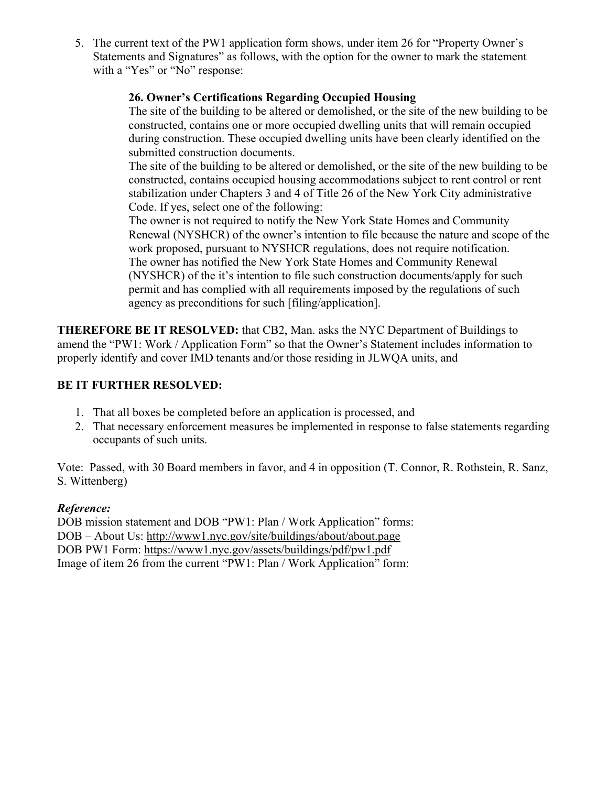5. The current text of the PW1 application form shows, under item 26 for "Property Owner's Statements and Signatures" as follows, with the option for the owner to mark the statement with a "Yes" or "No" response:

# **26. Owner's Certifications Regarding Occupied Housing**

The site of the building to be altered or demolished, or the site of the new building to be constructed, contains one or more occupied dwelling units that will remain occupied during construction. These occupied dwelling units have been clearly identified on the submitted construction documents.

The site of the building to be altered or demolished, or the site of the new building to be constructed, contains occupied housing accommodations subject to rent control or rent stabilization under Chapters 3 and 4 of Title 26 of the New York City administrative Code. If yes, select one of the following:

The owner is not required to notify the New York State Homes and Community Renewal (NYSHCR) of the owner's intention to file because the nature and scope of the work proposed, pursuant to NYSHCR regulations, does not require notification. The owner has notified the New York State Homes and Community Renewal (NYSHCR) of the it's intention to file such construction documents/apply for such permit and has complied with all requirements imposed by the regulations of such agency as preconditions for such [filing/application].

**THEREFORE BE IT RESOLVED:** that CB2, Man. asks the NYC Department of Buildings to amend the "PW1: Work / Application Form" so that the Owner's Statement includes information to properly identify and cover IMD tenants and/or those residing in JLWQA units, and

# **BE IT FURTHER RESOLVED:**

- 1. That all boxes be completed before an application is processed, and
- 2. That necessary enforcement measures be implemented in response to false statements regarding occupants of such units.

Vote: Passed, with 30 Board members in favor, and 4 in opposition (T. Connor, R. Rothstein, R. Sanz, S. Wittenberg)

## *Reference:*

DOB mission statement and DOB "PW1: Plan / Work Application" forms: DOB – About Us: http://www1.nyc.gov/site/buildings/about/about.page DOB PW1 Form: https://www1.nyc.gov/assets/buildings/pdf/pw1.pdf Image of item 26 from the current "PW1: Plan / Work Application" form: